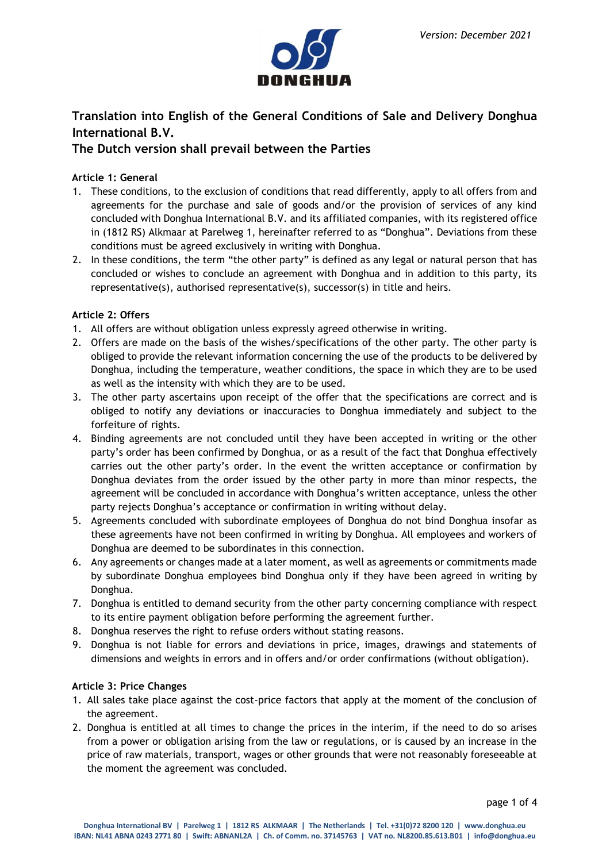

# **Translation into English of the General Conditions of Sale and Delivery Donghua International B.V.**

# **The Dutch version shall prevail between the Parties**

# **Article 1: General**

- 1. These conditions, to the exclusion of conditions that read differently, apply to all offers from and agreements for the purchase and sale of goods and/or the provision of services of any kind concluded with Donghua International B.V. and its affiliated companies, with its registered office in (1812 RS) Alkmaar at Parelweg 1, hereinafter referred to as "Donghua". Deviations from these conditions must be agreed exclusively in writing with Donghua.
- 2. In these conditions, the term "the other party" is defined as any legal or natural person that has concluded or wishes to conclude an agreement with Donghua and in addition to this party, its representative(s), authorised representative(s), successor(s) in title and heirs.

# **Article 2: Offers**

- 1. All offers are without obligation unless expressly agreed otherwise in writing.
- 2. Offers are made on the basis of the wishes/specifications of the other party. The other party is obliged to provide the relevant information concerning the use of the products to be delivered by Donghua, including the temperature, weather conditions, the space in which they are to be used as well as the intensity with which they are to be used.
- 3. The other party ascertains upon receipt of the offer that the specifications are correct and is obliged to notify any deviations or inaccuracies to Donghua immediately and subject to the forfeiture of rights.
- 4. Binding agreements are not concluded until they have been accepted in writing or the other party's order has been confirmed by Donghua, or as a result of the fact that Donghua effectively carries out the other party's order. In the event the written acceptance or confirmation by Donghua deviates from the order issued by the other party in more than minor respects, the agreement will be concluded in accordance with Donghua's written acceptance, unless the other party rejects Donghua's acceptance or confirmation in writing without delay.
- 5. Agreements concluded with subordinate employees of Donghua do not bind Donghua insofar as these agreements have not been confirmed in writing by Donghua. All employees and workers of Donghua are deemed to be subordinates in this connection.
- 6. Any agreements or changes made at a later moment, as well as agreements or commitments made by subordinate Donghua employees bind Donghua only if they have been agreed in writing by Donghua.
- 7. Donghua is entitled to demand security from the other party concerning compliance with respect to its entire payment obligation before performing the agreement further.
- 8. Donghua reserves the right to refuse orders without stating reasons.
- 9. Donghua is not liable for errors and deviations in price, images, drawings and statements of dimensions and weights in errors and in offers and/or order confirmations (without obligation).

# **Article 3: Price Changes**

- 1. All sales take place against the cost-price factors that apply at the moment of the conclusion of the agreement.
- 2. Donghua is entitled at all times to change the prices in the interim, if the need to do so arises from a power or obligation arising from the law or regulations, or is caused by an increase in the price of raw materials, transport, wages or other grounds that were not reasonably foreseeable at the moment the agreement was concluded.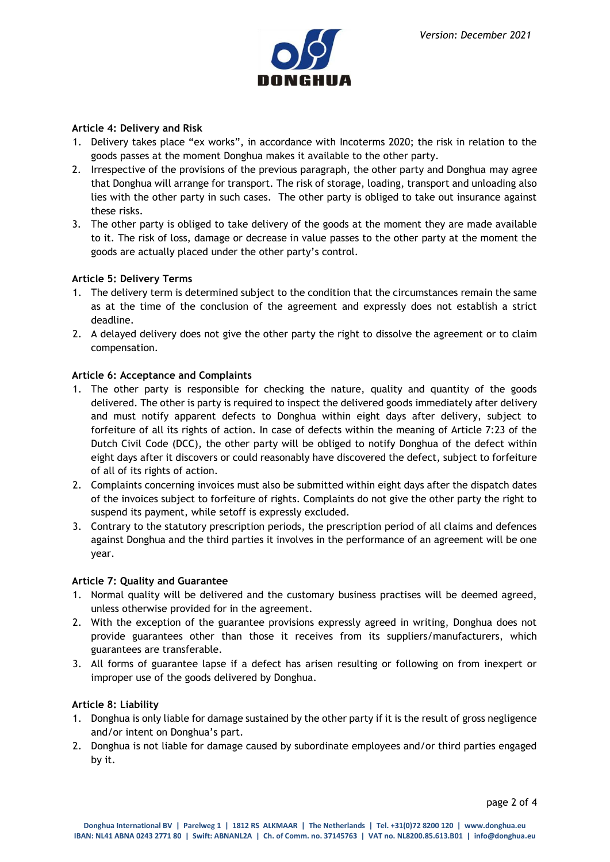

### **Article 4: Delivery and Risk**

- 1. Delivery takes place "ex works", in accordance with Incoterms 2020; the risk in relation to the goods passes at the moment Donghua makes it available to the other party.
- 2. Irrespective of the provisions of the previous paragraph, the other party and Donghua may agree that Donghua will arrange for transport. The risk of storage, loading, transport and unloading also lies with the other party in such cases. The other party is obliged to take out insurance against these risks.
- 3. The other party is obliged to take delivery of the goods at the moment they are made available to it. The risk of loss, damage or decrease in value passes to the other party at the moment the goods are actually placed under the other party's control.

### **Article 5: Delivery Terms**

- 1. The delivery term is determined subject to the condition that the circumstances remain the same as at the time of the conclusion of the agreement and expressly does not establish a strict deadline.
- 2. A delayed delivery does not give the other party the right to dissolve the agreement or to claim compensation.

### **Article 6: Acceptance and Complaints**

- 1. The other party is responsible for checking the nature, quality and quantity of the goods delivered. The other is party is required to inspect the delivered goods immediately after delivery and must notify apparent defects to Donghua within eight days after delivery, subject to forfeiture of all its rights of action. In case of defects within the meaning of Article 7:23 of the Dutch Civil Code (DCC), the other party will be obliged to notify Donghua of the defect within eight days after it discovers or could reasonably have discovered the defect, subject to forfeiture of all of its rights of action.
- 2. Complaints concerning invoices must also be submitted within eight days after the dispatch dates of the invoices subject to forfeiture of rights. Complaints do not give the other party the right to suspend its payment, while setoff is expressly excluded.
- 3. Contrary to the statutory prescription periods, the prescription period of all claims and defences against Donghua and the third parties it involves in the performance of an agreement will be one year.

#### **Article 7: Quality and Guarantee**

- 1. Normal quality will be delivered and the customary business practises will be deemed agreed, unless otherwise provided for in the agreement.
- 2. With the exception of the guarantee provisions expressly agreed in writing, Donghua does not provide guarantees other than those it receives from its suppliers/manufacturers, which guarantees are transferable.
- 3. All forms of guarantee lapse if a defect has arisen resulting or following on from inexpert or improper use of the goods delivered by Donghua.

#### **Article 8: Liability**

- 1. Donghua is only liable for damage sustained by the other party if it is the result of gross negligence and/or intent on Donghua's part.
- 2. Donghua is not liable for damage caused by subordinate employees and/or third parties engaged by it.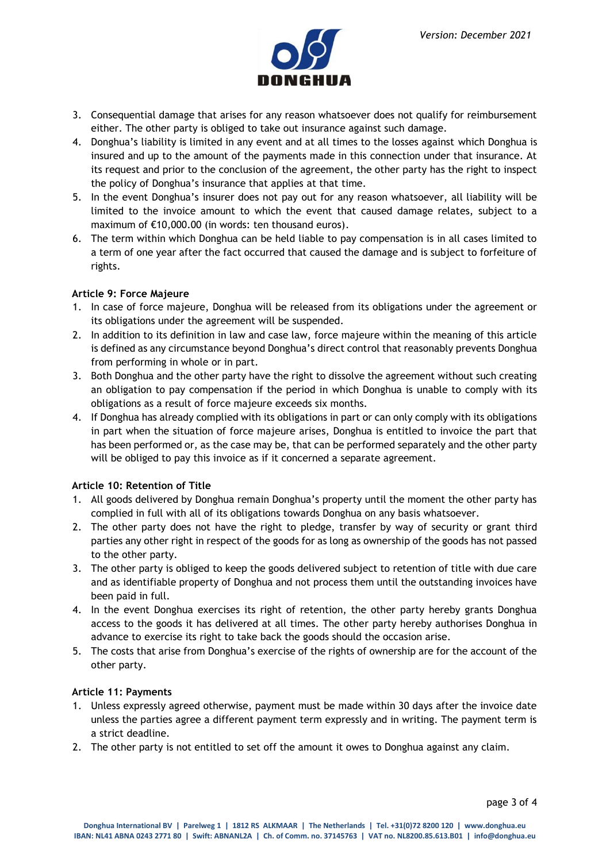

- 3. Consequential damage that arises for any reason whatsoever does not qualify for reimbursement either. The other party is obliged to take out insurance against such damage.
- 4. Donghua's liability is limited in any event and at all times to the losses against which Donghua is insured and up to the amount of the payments made in this connection under that insurance. At its request and prior to the conclusion of the agreement, the other party has the right to inspect the policy of Donghua's insurance that applies at that time.
- 5. In the event Donghua's insurer does not pay out for any reason whatsoever, all liability will be limited to the invoice amount to which the event that caused damage relates, subject to a maximum of €10,000.00 (in words: ten thousand euros).
- 6. The term within which Donghua can be held liable to pay compensation is in all cases limited to a term of one year after the fact occurred that caused the damage and is subject to forfeiture of rights.

# **Article 9: Force Majeure**

- 1. In case of force majeure, Donghua will be released from its obligations under the agreement or its obligations under the agreement will be suspended.
- 2. In addition to its definition in law and case law, force majeure within the meaning of this article is defined as any circumstance beyond Donghua's direct control that reasonably prevents Donghua from performing in whole or in part.
- 3. Both Donghua and the other party have the right to dissolve the agreement without such creating an obligation to pay compensation if the period in which Donghua is unable to comply with its obligations as a result of force majeure exceeds six months.
- 4. If Donghua has already complied with its obligations in part or can only comply with its obligations in part when the situation of force majeure arises, Donghua is entitled to invoice the part that has been performed or, as the case may be, that can be performed separately and the other party will be obliged to pay this invoice as if it concerned a separate agreement.

# **Article 10: Retention of Title**

- 1. All goods delivered by Donghua remain Donghua's property until the moment the other party has complied in full with all of its obligations towards Donghua on any basis whatsoever.
- 2. The other party does not have the right to pledge, transfer by way of security or grant third parties any other right in respect of the goods for as long as ownership of the goods has not passed to the other party.
- 3. The other party is obliged to keep the goods delivered subject to retention of title with due care and as identifiable property of Donghua and not process them until the outstanding invoices have been paid in full.
- 4. In the event Donghua exercises its right of retention, the other party hereby grants Donghua access to the goods it has delivered at all times. The other party hereby authorises Donghua in advance to exercise its right to take back the goods should the occasion arise.
- 5. The costs that arise from Donghua's exercise of the rights of ownership are for the account of the other party.

# **Article 11: Payments**

- 1. Unless expressly agreed otherwise, payment must be made within 30 days after the invoice date unless the parties agree a different payment term expressly and in writing. The payment term is a strict deadline.
- 2. The other party is not entitled to set off the amount it owes to Donghua against any claim.